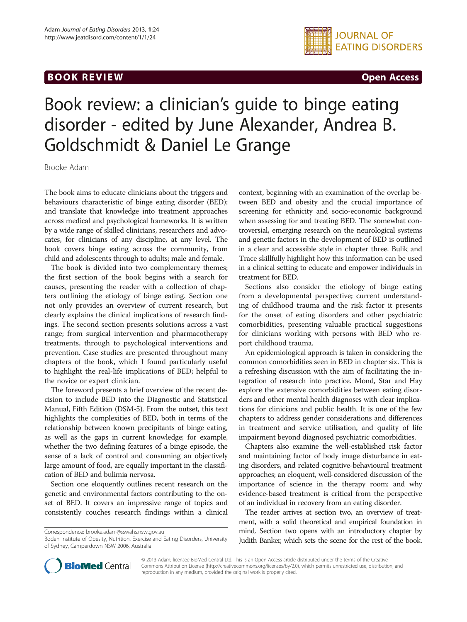## **BOOK REVIEW CONTROL** BOOK REVIEW



# Book review: a clinician's guide to binge eating disorder - edited by June Alexander, Andrea B. Goldschmidt & Daniel Le Grange

Brooke Adam

The book aims to educate clinicians about the triggers and behaviours characteristic of binge eating disorder (BED); and translate that knowledge into treatment approaches across medical and psychological frameworks. It is written by a wide range of skilled clinicians, researchers and advocates, for clinicians of any discipline, at any level. The book covers binge eating across the community, from child and adolescents through to adults; male and female.

The book is divided into two complementary themes; the first section of the book begins with a search for causes, presenting the reader with a collection of chapters outlining the etiology of binge eating. Section one not only provides an overview of current research, but clearly explains the clinical implications of research findings. The second section presents solutions across a vast range; from surgical intervention and pharmacotherapy treatments, through to psychological interventions and prevention. Case studies are presented throughout many chapters of the book, which I found particularly useful to highlight the real-life implications of BED; helpful to the novice or expert clinician.

The foreword presents a brief overview of the recent decision to include BED into the Diagnostic and Statistical Manual, Fifth Edition (DSM-5). From the outset, this text highlights the complexities of BED, both in terms of the relationship between known precipitants of binge eating, as well as the gaps in current knowledge; for example, whether the two defining features of a binge episode, the sense of a lack of control and consuming an objectively large amount of food, are equally important in the classification of BED and bulimia nervosa.

Section one eloquently outlines recent research on the genetic and environmental factors contributing to the onset of BED. It covers an impressive range of topics and consistently couches research findings within a clinical context, beginning with an examination of the overlap between BED and obesity and the crucial importance of screening for ethnicity and socio-economic background when assessing for and treating BED. The somewhat controversial, emerging research on the neurological systems and genetic factors in the development of BED is outlined in a clear and accessible style in chapter three. Bulik and Trace skillfully highlight how this information can be used in a clinical setting to educate and empower individuals in treatment for BED.

Sections also consider the etiology of binge eating from a developmental perspective; current understanding of childhood trauma and the risk factor it presents for the onset of eating disorders and other psychiatric comorbidities, presenting valuable practical suggestions for clinicians working with persons with BED who report childhood trauma.

An epidemiological approach is taken in considering the common comorbidities seen in BED in chapter six. This is a refreshing discussion with the aim of facilitating the integration of research into practice. Mond, Star and Hay explore the extensive comorbidities between eating disorders and other mental health diagnoses with clear implications for clinicians and public health. It is one of the few chapters to address gender considerations and differences in treatment and service utilisation, and quality of life impairment beyond diagnosed psychiatric comorbidities.

Chapters also examine the well-established risk factor and maintaining factor of body image disturbance in eating disorders, and related cognitive-behavioural treatment approaches; an eloquent, well-considered discussion of the importance of science in the therapy room; and why evidence-based treatment is critical from the perspective of an individual in recovery from an eating disorder.

The reader arrives at section two, an overview of treatment, with a solid theoretical and empirical foundation in mind. Section two opens with an introductory chapter by Judith Banker, which sets the scene for the rest of the book.



© 2013 Adam; licensee BioMed Central Ltd. This is an Open Access article distributed under the terms of the Creative Commons Attribution License [\(http://creativecommons.org/licenses/by/2.0\)](http://creativecommons.org/licenses/by/2.0), which permits unrestricted use, distribution, and reproduction in any medium, provided the original work is properly cited.

Correspondence: [brooke.adam@sswahs.nsw.gov.au](mailto:brooke.adam@sswahs.nsw.gov.au)

Boden Institute of Obesity, Nutrition, Exercise and Eating Disorders, University of Sydney, Camperdown NSW 2006, Australia